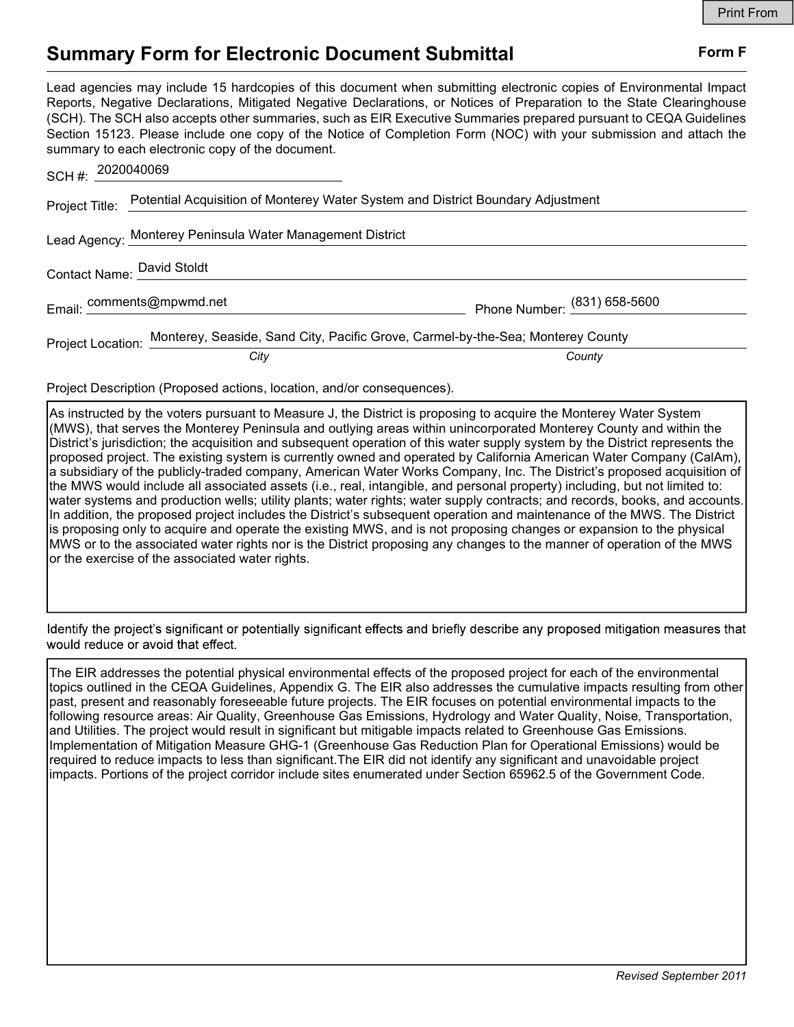## Summary Form for Electronic Document Submittal Form F

Lead agencies may include 15 hardcopies of this document when submitting electronic copies of Environmental Impact Reports, Negative Declarations, Mitigated Negative Declarations, or Notices of Preparation to the State Clearinghouse (SCH). The SCH also accepts other summaries, such as EIR Executive Summaries prepared pursuant to CEQA Guidelines Section 15123. Please include one copy of the Notice of Completion Form (NOC) with your submission and attach the summary to each electronic copy of the document.

|                            | SCH #: 2020040069                                                                                 |                                |
|----------------------------|---------------------------------------------------------------------------------------------------|--------------------------------|
|                            | Project Title: Potential Acquisition of Monterey Water System and District Boundary Adjustment    |                                |
|                            | Lead Agency: Monterey Peninsula Water Management District                                         |                                |
| Contact Name: David Stoldt |                                                                                                   |                                |
|                            | Email: comments@mpwmd.net                                                                         | Phone Number: $(831)$ 658-5600 |
|                            | Project Location: Monterey, Seaside, Sand City, Pacific Grove, Carmel-by-the-Sea; Monterey County |                                |
|                            | City                                                                                              | County                         |

Project Description (Proposed actions, location, and/or consequences).

As instructed by the voters pursuant to Measure J, the District is proposing to acquire the Monterey Water System (MWS), that serves the Monterey Peninsula and outlying areas within unincorporated Monterey County and within the District's jurisdiction; the acquisition and subsequent operation of this water supply system by the District represents the proposed project. The existing system is currently owned and operated by California American Water Company (CalAm), a subsidiary of the publicly-traded company, American Water Works Company, Inc. The District's proposed acquisition of the MWS would include all associated assets (i.e., real, intangible, and personal property) including, but not limited to: water systems and production wells; utility plants; water rights; water supply contracts; and records, books, and accounts. In addition, the proposed project includes the District's subsequent operation and maintenance of the MWS. The District is proposing only to acquire and operate the existing MWS, and is not proposing changes or expansion to the physical MWS or to the associated water rights nor is the District proposing any changes to the manner of operation of the MWS or the exercise of the associated water rights.

Identify the project's significant or potentially significant effects and briefly describe any proposed mitigation measures that would reduce or avoid that effect.

The EIR addresses the potential physical environmental effects of the proposed project for each of the environmental topics outlined in the CEQA Guidelines, Appendix G. The EIR also addresses the cumulative impacts resulting from other past, present and reasonably foreseeable future projects. The EIR focuses on potential environmental impacts to the following resource areas: Air Quality, Greenhouse Gas Emissions, Hydrology and Water Quality, Noise, Transportation, and Utilities. The project would result in significant but mitigable impacts related to Greenhouse Gas Emissions. Implementation of Mitigation Measure GHG-1 (Greenhouse Gas Reduction Plan for Operational Emissions) would be required to reduce impacts to less than significant.The EIR did not identify any significant and unavoidable project impacts. Portions of the project corridor include sites enumerated under Section 65962.5 of the Government Code.